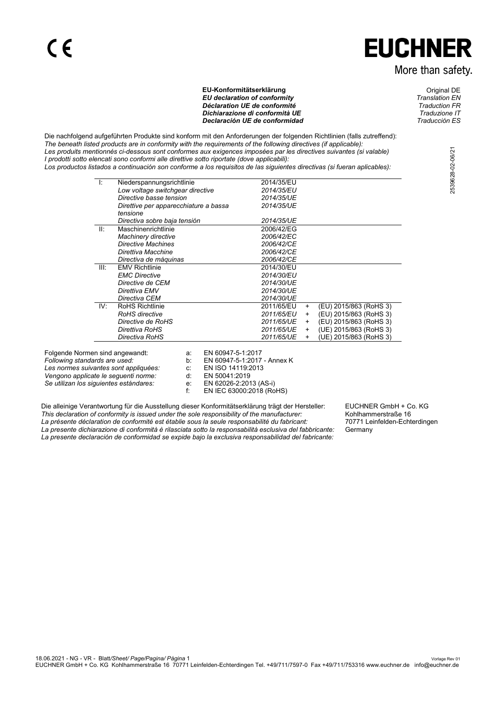## **EUCHNER**

## More than safety.

## EU-Konformitätserklärung var andere andere andere Original DE<br>EU declaration of conformity variable and the Constantion EN *EU declaration of conformity Translation EN Déclaration UE de conformité Traduction FR* **Dichiarazione di conformità UE** *Declaración UE de conformidad Traducción ES*

Die nachfolgend aufgeführten Produkte sind konform mit den Anforderungen der folgenden Richtlinien (falls zutreffend): *The beneath listed products are in conformity with the requirements of the following directives (if applicable): Les produits mentionnés ci-dessous sont conformes aux exigences imposées par les directives suivantes (si valable) I prodotti sotto elencati sono conformi alle direttive sotto riportate (dove applicabili): Los productos listados a continuación son conforme a los requisitos de las siguientes directivas (si fueran aplicables):*

| -l:  | Niederspannungsrichtlinie             | 2014/35/EU |           |                        |
|------|---------------------------------------|------------|-----------|------------------------|
|      | Low voltage switchgear directive      | 2014/35/EU |           |                        |
|      | Directive basse tension               | 2014/35/UE |           |                        |
|      | Direttive per apparecchiature a bassa | 2014/35/UE |           |                        |
|      | tensione                              |            |           |                        |
|      | Directiva sobre baja tensión          | 2014/35/UE |           |                        |
| -ll: | Maschinenrichtlinie                   | 2006/42/EG |           |                        |
|      | <b>Machinery directive</b>            | 2006/42/EC |           |                        |
|      | <b>Directive Machines</b>             | 2006/42/CE |           |                        |
|      | Direttiva Macchine                    | 2006/42/CE |           |                        |
|      | Directiva de máquinas                 | 2006/42/CE |           |                        |
| III: | <b>EMV Richtlinie</b>                 | 2014/30/EU |           |                        |
|      | <b>EMC Directive</b>                  | 2014/30/EU |           |                        |
|      | Directive de CEM                      | 2014/30/UE |           |                        |
|      | Direttiva EMV                         | 2014/30/UE |           |                        |
|      | Directiva CEM                         | 2014/30/UE |           |                        |
| IV.  | <b>RoHS Richtlinie</b>                | 2011/65/EU | $\ddot{}$ | (EU) 2015/863 (RoHS 3) |
|      | RoHS directive                        | 2011/65/EU | +         | (EU) 2015/863 (RoHS 3) |
|      | Directive de RoHS                     | 2011/65/UE | $\ddot{}$ | (EU) 2015/863 (RoHS 3) |
|      | Direttiva RoHS                        | 2011/65/UE | +         | (UE) 2015/863 (RoHS 3) |
|      | Directiva RoHS                        | 2011/65/UE | +         | (UE) 2015/863 (RoHS 3) |

Folgende Normen sind angewandt: a: EN 60947-5-1:2017<br>Following standards are used: b: EN 60947-5-1:2017

Les normes suivantes sont appliquées: c:

*Vengono applicate le seguenti norme:* d: EN 50041:2019

*Following standards are used:* b: EN 60947-5-1:2017 - Annex K

*Se utilizan los siguientes estándares:* e: EN 62026-2:2013 (AS-i)

EN IEC 63000:2018 (RoHS)

Die alleinige Verantwortung für die Ausstellung dieser Konformitätserklärung trägt der Hersteller: *This declaration of conformity is issued under the sole responsibility of the manufacturer: La présente déclaration de conformité est établie sous la seule responsabilité du fabricant: La presente dichiarazione di conformità è rilasciata sotto la responsabilità esclusiva del fabbricante:* EUCHNER GmbH + Co. KG Kohlhammerstraße 16 70771 Leinfelden-Echterdingen Germany

*La presente declaración de conformidad se expide bajo la exclusiva responsabilidad del fabricante:*

2539628-02-06/21 2539628-02-06/21